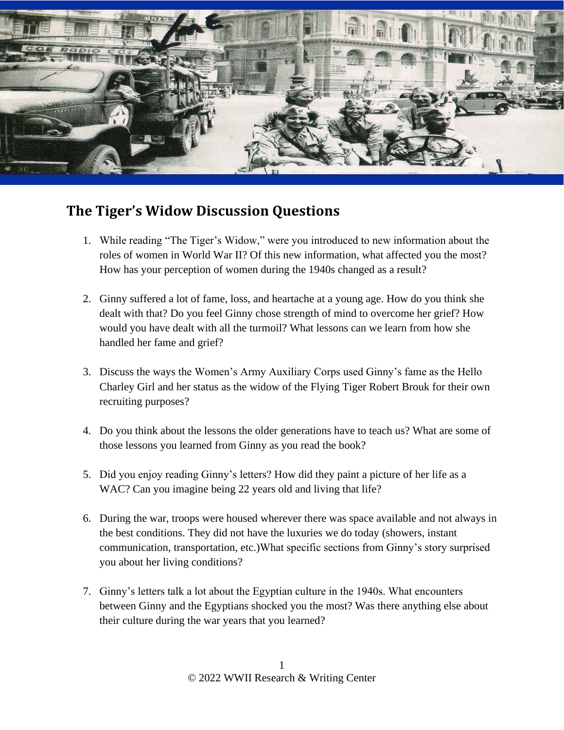

## **The Tiger's Widow Discussion Questions**

- 1. While reading "The Tiger's Widow," were you introduced to new information about the roles of women in World War II? Of this new information, what affected you the most? How has your perception of women during the 1940s changed as a result?
- 2. Ginny suffered a lot of fame, loss, and heartache at a young age. How do you think she dealt with that? Do you feel Ginny chose strength of mind to overcome her grief? How would you have dealt with all the turmoil? What lessons can we learn from how she handled her fame and grief?
- 3. Discuss the ways the Women's Army Auxiliary Corps used Ginny's fame as the Hello Charley Girl and her status as the widow of the Flying Tiger Robert Brouk for their own recruiting purposes?
- 4. Do you think about the lessons the older generations have to teach us? What are some of those lessons you learned from Ginny as you read the book?
- 5. Did you enjoy reading Ginny's letters? How did they paint a picture of her life as a WAC? Can you imagine being 22 years old and living that life?
- 6. During the war, troops were housed wherever there was space available and not always in the best conditions. They did not have the luxuries we do today (showers, instant communication, transportation, etc.)What specific sections from Ginny's story surprised you about her living conditions?
- 7. Ginny's letters talk a lot about the Egyptian culture in the 1940s. What encounters between Ginny and the Egyptians shocked you the most? Was there anything else about their culture during the war years that you learned?